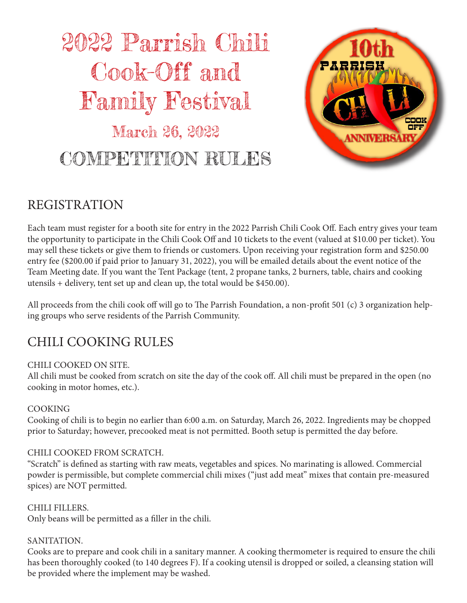# 2022 Parrish Chili Cook-Off and Family Festival March 26, 2022

COMPETITION RULES



### REGISTRATION

Each team must register for a booth site for entry in the 2022 Parrish Chili Cook Off. Each entry gives your team the opportunity to participate in the Chili Cook Off and 10 tickets to the event (valued at \$10.00 per ticket). You may sell these tickets or give them to friends or customers. Upon receiving your registration form and \$250.00 entry fee (\$200.00 if paid prior to January 31, 2022), you will be emailed details about the event notice of the Team Meeting date. If you want the Tent Package (tent, 2 propane tanks, 2 burners, table, chairs and cooking utensils + delivery, tent set up and clean up, the total would be \$450.00).

All proceeds from the chili cook off will go to The Parrish Foundation, a non-profit 501 (c) 3 organization helping groups who serve residents of the Parrish Community.

### CHILI COOKING RULES

#### CHILI COOKED ON SITE.

All chili must be cooked from scratch on site the day of the cook off. All chili must be prepared in the open (no cooking in motor homes, etc.).

#### COOKING

Cooking of chili is to begin no earlier than 6:00 a.m. on Saturday, March 26, 2022. Ingredients may be chopped prior to Saturday; however, precooked meat is not permitted. Booth setup is permitted the day before.

#### CHILI COOKED FROM SCRATCH.

"Scratch" is defined as starting with raw meats, vegetables and spices. No marinating is allowed. Commercial powder is permissible, but complete commercial chili mixes ("just add meat" mixes that contain pre-measured spices) are NOT permitted.

#### CHILI FILLERS.

Only beans will be permitted as a filler in the chili.

#### SANITATION.

Cooks are to prepare and cook chili in a sanitary manner. A cooking thermometer is required to ensure the chili has been thoroughly cooked (to 140 degrees F). If a cooking utensil is dropped or soiled, a cleansing station will be provided where the implement may be washed.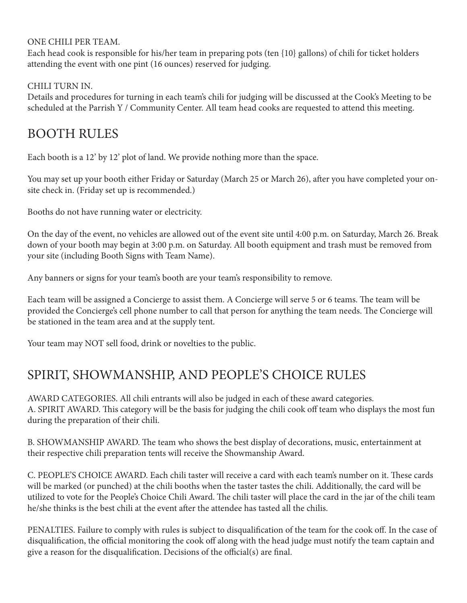#### ONE CHILI PER TEAM.

Each head cook is responsible for his/her team in preparing pots (ten {10} gallons) of chili for ticket holders attending the event with one pint (16 ounces) reserved for judging.

#### CHILI TURN IN.

Details and procedures for turning in each team's chili for judging will be discussed at the Cook's Meeting to be scheduled at the Parrish Y / Community Center. All team head cooks are requested to attend this meeting.

### BOOTH RULES

Each booth is a 12' by 12' plot of land. We provide nothing more than the space.

You may set up your booth either Friday or Saturday (March 25 or March 26), after you have completed your onsite check in. (Friday set up is recommended.)

Booths do not have running water or electricity.

On the day of the event, no vehicles are allowed out of the event site until 4:00 p.m. on Saturday, March 26. Break down of your booth may begin at 3:00 p.m. on Saturday. All booth equipment and trash must be removed from your site (including Booth Signs with Team Name).

Any banners or signs for your team's booth are your team's responsibility to remove.

Each team will be assigned a Concierge to assist them. A Concierge will serve 5 or 6 teams. The team will be provided the Concierge's cell phone number to call that person for anything the team needs. The Concierge will be stationed in the team area and at the supply tent.

Your team may NOT sell food, drink or novelties to the public.

### SPIRIT, SHOWMANSHIP, AND PEOPLE'S CHOICE RULES

AWARD CATEGORIES. All chili entrants will also be judged in each of these award categories. A. SPIRIT AWARD. This category will be the basis for judging the chili cook off team who displays the most fun during the preparation of their chili.

B. SHOWMANSHIP AWARD. The team who shows the best display of decorations, music, entertainment at their respective chili preparation tents will receive the Showmanship Award.

C. PEOPLE'S CHOICE AWARD. Each chili taster will receive a card with each team's number on it. These cards will be marked (or punched) at the chili booths when the taster tastes the chili. Additionally, the card will be utilized to vote for the People's Choice Chili Award. The chili taster will place the card in the jar of the chili team he/she thinks is the best chili at the event after the attendee has tasted all the chilis.

PENALTIES. Failure to comply with rules is subject to disqualification of the team for the cook off. In the case of disqualification, the official monitoring the cook off along with the head judge must notify the team captain and give a reason for the disqualification. Decisions of the official(s) are final.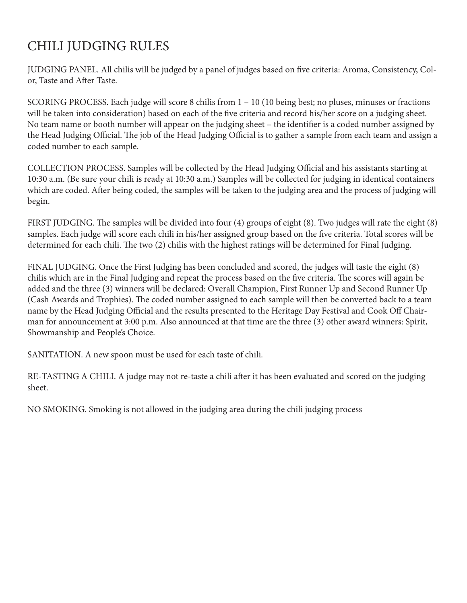### CHILI JUDGING RULES

JUDGING PANEL. All chilis will be judged by a panel of judges based on five criteria: Aroma, Consistency, Color, Taste and After Taste.

SCORING PROCESS. Each judge will score 8 chilis from 1 – 10 (10 being best; no pluses, minuses or fractions will be taken into consideration) based on each of the five criteria and record his/her score on a judging sheet. No team name or booth number will appear on the judging sheet – the identifier is a coded number assigned by the Head Judging Official. The job of the Head Judging Official is to gather a sample from each team and assign a coded number to each sample.

COLLECTION PROCESS. Samples will be collected by the Head Judging Official and his assistants starting at 10:30 a.m. (Be sure your chili is ready at 10:30 a.m.) Samples will be collected for judging in identical containers which are coded. After being coded, the samples will be taken to the judging area and the process of judging will begin.

FIRST JUDGING. The samples will be divided into four (4) groups of eight (8). Two judges will rate the eight (8) samples. Each judge will score each chili in his/her assigned group based on the five criteria. Total scores will be determined for each chili. The two (2) chilis with the highest ratings will be determined for Final Judging.

FINAL JUDGING. Once the First Judging has been concluded and scored, the judges will taste the eight (8) chilis which are in the Final Judging and repeat the process based on the five criteria. The scores will again be added and the three (3) winners will be declared: Overall Champion, First Runner Up and Second Runner Up (Cash Awards and Trophies). The coded number assigned to each sample will then be converted back to a team name by the Head Judging Official and the results presented to the Heritage Day Festival and Cook Off Chairman for announcement at 3:00 p.m. Also announced at that time are the three (3) other award winners: Spirit, Showmanship and People's Choice.

SANITATION. A new spoon must be used for each taste of chili.

RE-TASTING A CHILI. A judge may not re-taste a chili after it has been evaluated and scored on the judging sheet.

NO SMOKING. Smoking is not allowed in the judging area during the chili judging process